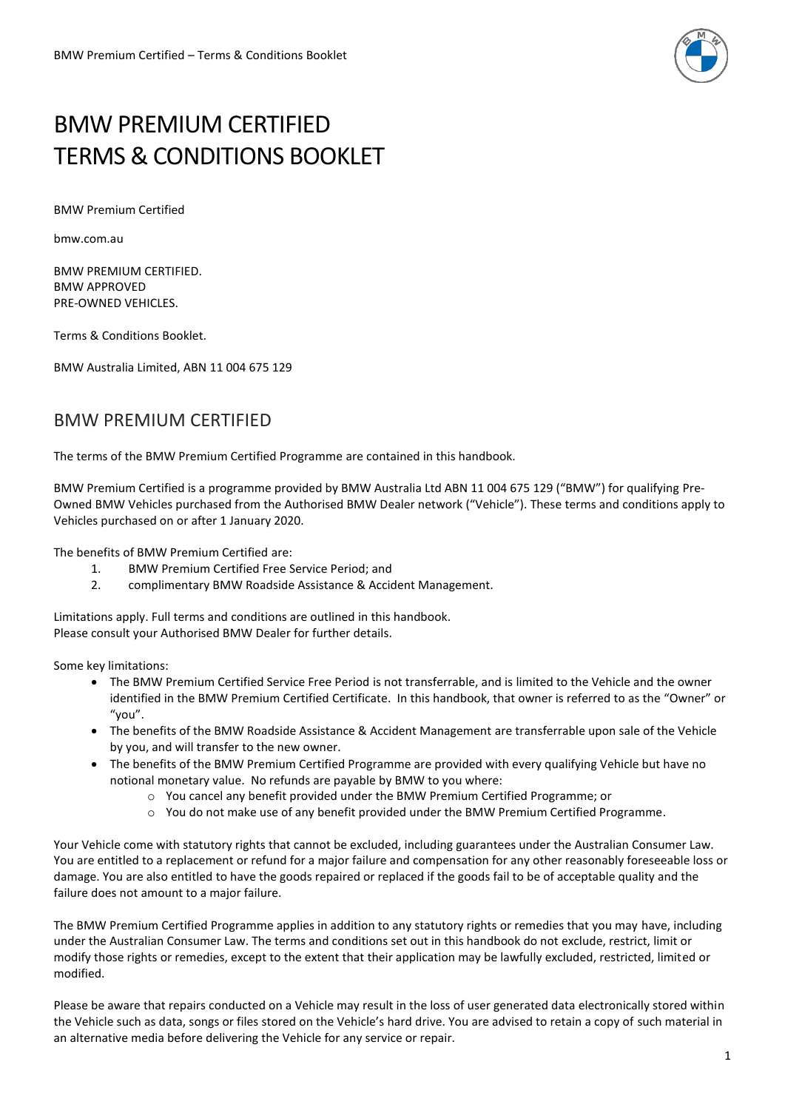

# BMW PREMIUM CERTIFIED TERMS & CONDITIONS BOOKLET

BMW Premium Certified

bmw.com.au

BMW PREMIUM CERTIFIED. BMW APPROVED PRE-OWNED VEHICLES.

Terms & Conditions Booklet.

BMW Australia Limited, ABN 11 004 675 129

# BMW PREMIUM CERTIFIED

The terms of the BMW Premium Certified Programme are contained in this handbook.

BMW Premium Certified is a programme provided by BMW Australia Ltd ABN 11 004 675 129 ("BMW") for qualifying Pre-Owned BMW Vehicles purchased from the Authorised BMW Dealer network ("Vehicle"). These terms and conditions apply to Vehicles purchased on or after 1 January 2020.

The benefits of BMW Premium Certified are:

- 1. BMW Premium Certified Free Service Period; and
- 2. complimentary BMW Roadside Assistance & Accident Management.

Limitations apply. Full terms and conditions are outlined in this handbook. Please consult your Authorised BMW Dealer for further details.

Some key limitations:

- The BMW Premium Certified Service Free Period is not transferrable, and is limited to the Vehicle and the owner identified in the BMW Premium Certified Certificate. In this handbook, that owner is referred to as the "Owner" or "you".
- The benefits of the BMW Roadside Assistance & Accident Management are transferrable upon sale of the Vehicle by you, and will transfer to the new owner.
- The benefits of the BMW Premium Certified Programme are provided with every qualifying Vehicle but have no notional monetary value. No refunds are payable by BMW to you where:
	- o You cancel any benefit provided under the BMW Premium Certified Programme; or
	- o You do not make use of any benefit provided under the BMW Premium Certified Programme.

Your Vehicle come with statutory rights that cannot be excluded, including guarantees under the Australian Consumer Law. You are entitled to a replacement or refund for a major failure and compensation for any other reasonably foreseeable loss or damage. You are also entitled to have the goods repaired or replaced if the goods fail to be of acceptable quality and the failure does not amount to a major failure.

The BMW Premium Certified Programme applies in addition to any statutory rights or remedies that you may have, including under the Australian Consumer Law. The terms and conditions set out in this handbook do not exclude, restrict, limit or modify those rights or remedies, except to the extent that their application may be lawfully excluded, restricted, limited or modified.

Please be aware that repairs conducted on a Vehicle may result in the loss of user generated data electronically stored within the Vehicle such as data, songs or files stored on the Vehicle's hard drive. You are advised to retain a copy of such material in an alternative media before delivering the Vehicle for any service or repair.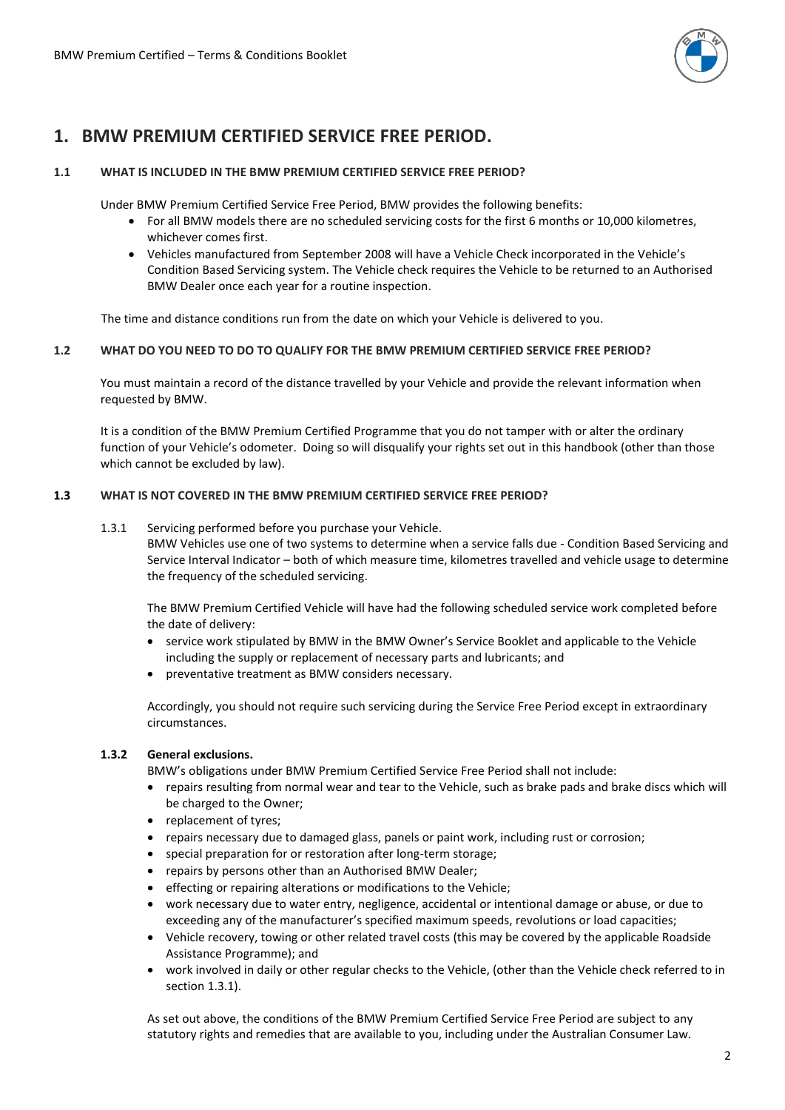

# **1. BMW PREMIUM CERTIFIED SERVICE FREE PERIOD.**

#### **1.1 WHAT IS INCLUDED IN THE BMW PREMIUM CERTIFIED SERVICE FREE PERIOD?**

Under BMW Premium Certified Service Free Period, BMW provides the following benefits:

- For all BMW models there are no scheduled servicing costs for the first 6 months or 10,000 kilometres, whichever comes first.
- Vehicles manufactured from September 2008 will have a Vehicle Check incorporated in the Vehicle's Condition Based Servicing system. The Vehicle check requires the Vehicle to be returned to an Authorised BMW Dealer once each year for a routine inspection.

The time and distance conditions run from the date on which your Vehicle is delivered to you.

#### **1.2 WHAT DO YOU NEED TO DO TO QUALIFY FOR THE BMW PREMIUM CERTIFIED SERVICE FREE PERIOD?**

You must maintain a record of the distance travelled by your Vehicle and provide the relevant information when requested by BMW.

It is a condition of the BMW Premium Certified Programme that you do not tamper with or alter the ordinary function of your Vehicle's odometer. Doing so will disqualify your rights set out in this handbook (other than those which cannot be excluded by law).

#### **1.3 WHAT IS NOT COVERED IN THE BMW PREMIUM CERTIFIED SERVICE FREE PERIOD?**

#### 1.3.1 Servicing performed before you purchase your Vehicle.

BMW Vehicles use one of two systems to determine when a service falls due - Condition Based Servicing and Service Interval Indicator – both of which measure time, kilometres travelled and vehicle usage to determine the frequency of the scheduled servicing.

The BMW Premium Certified Vehicle will have had the following scheduled service work completed before the date of delivery:

- service work stipulated by BMW in the BMW Owner's Service Booklet and applicable to the Vehicle including the supply or replacement of necessary parts and lubricants; and
- preventative treatment as BMW considers necessary.

Accordingly, you should not require such servicing during the Service Free Period except in extraordinary circumstances.

#### **1.3.2 General exclusions.**

BMW's obligations under BMW Premium Certified Service Free Period shall not include:

- repairs resulting from normal wear and tear to the Vehicle, such as brake pads and brake discs which will be charged to the Owner;
- replacement of tyres;
- repairs necessary due to damaged glass, panels or paint work, including rust or corrosion;
- special preparation for or restoration after long-term storage;
- repairs by persons other than an Authorised BMW Dealer;
- effecting or repairing alterations or modifications to the Vehicle;
- work necessary due to water entry, negligence, accidental or intentional damage or abuse, or due to exceeding any of the manufacturer's specified maximum speeds, revolutions or load capacities;
- Vehicle recovery, towing or other related travel costs (this may be covered by the applicable Roadside Assistance Programme); and
- work involved in daily or other regular checks to the Vehicle, (other than the Vehicle check referred to in section 1.3.1).

As set out above, the conditions of the BMW Premium Certified Service Free Period are subject to any statutory rights and remedies that are available to you, including under the Australian Consumer Law.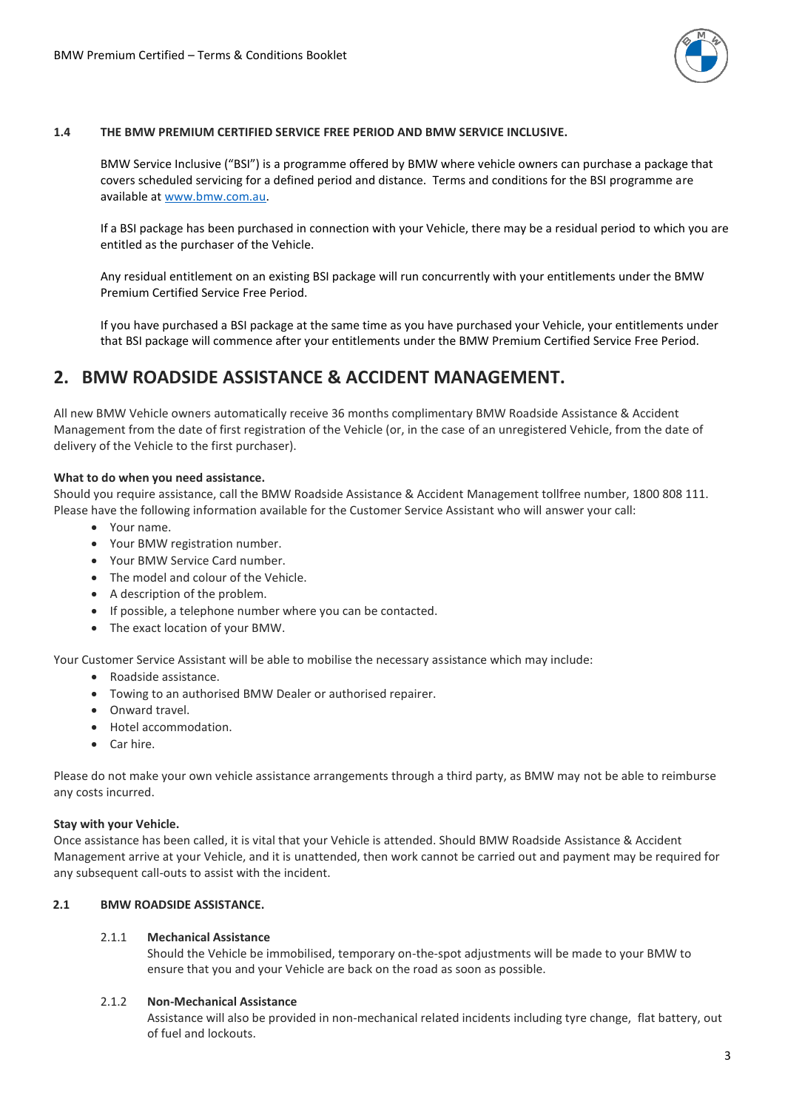

#### **1.4 THE BMW PREMIUM CERTIFIED SERVICE FREE PERIOD AND BMW SERVICE INCLUSIVE.**

BMW Service Inclusive ("BSI") is a programme offered by BMW where vehicle owners can purchase a package that covers scheduled servicing for a defined period and distance. Terms and conditions for the BSI programme are available at www.bmw.com.au.

If a BSI package has been purchased in connection with your Vehicle, there may be a residual period to which you are entitled as the purchaser of the Vehicle.

Any residual entitlement on an existing BSI package will run concurrently with your entitlements under the BMW Premium Certified Service Free Period.

If you have purchased a BSI package at the same time as you have purchased your Vehicle, your entitlements under that BSI package will commence after your entitlements under the BMW Premium Certified Service Free Period.

# **2. BMW ROADSIDE ASSISTANCE & ACCIDENT MANAGEMENT.**

All new BMW Vehicle owners automatically receive 36 months complimentary BMW Roadside Assistance & Accident Management from the date of first registration of the Vehicle (or, in the case of an unregistered Vehicle, from the date of delivery of the Vehicle to the first purchaser).

#### **What to do when you need assistance.**

Should you require assistance, call the BMW Roadside Assistance & Accident Management tollfree number, 1800 808 111. Please have the following information available for the Customer Service Assistant who will answer your call:

- Your name.
- Your BMW registration number.
- Your BMW Service Card number.
- The model and colour of the Vehicle.
- A description of the problem.
- If possible, a telephone number where you can be contacted.
- The exact location of your BMW.

Your Customer Service Assistant will be able to mobilise the necessary assistance which may include:

- Roadside assistance.
- Towing to an authorised BMW Dealer or authorised repairer.
- Onward travel.
- Hotel accommodation.
- Car hire.

Please do not make your own vehicle assistance arrangements through a third party, as BMW may not be able to reimburse any costs incurred.

#### **Stay with your Vehicle.**

Once assistance has been called, it is vital that your Vehicle is attended. Should BMW Roadside Assistance & Accident Management arrive at your Vehicle, and it is unattended, then work cannot be carried out and payment may be required for any subsequent call-outs to assist with the incident.

# **2.1 BMW ROADSIDE ASSISTANCE.**

# 2.1.1 **Mechanical Assistance**

Should the Vehicle be immobilised, temporary on-the-spot adjustments will be made to your BMW to ensure that you and your Vehicle are back on the road as soon as possible.

#### 2.1.2 **Non-Mechanical Assistance**

Assistance will also be provided in non-mechanical related incidents including tyre change, flat battery, out of fuel and lockouts.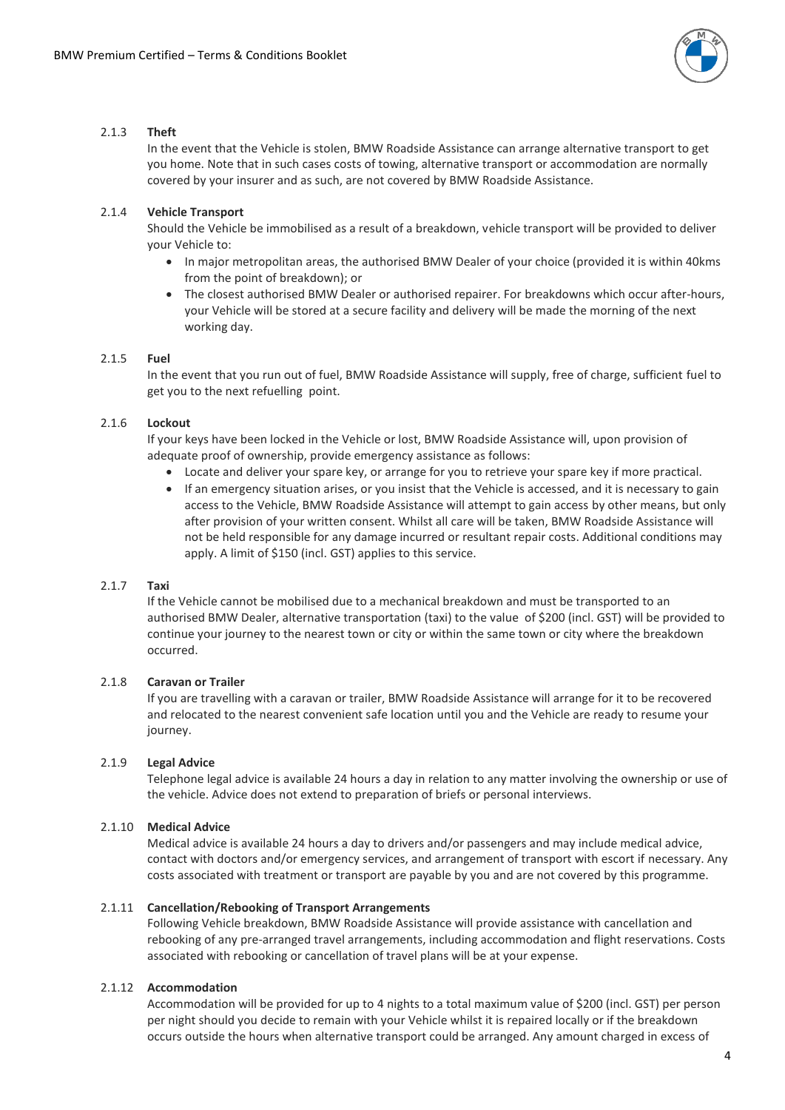

#### 2.1.3 **Theft**

In the event that the Vehicle is stolen, BMW Roadside Assistance can arrange alternative transport to get you home. Note that in such cases costs of towing, alternative transport or accommodation are normally covered by your insurer and as such, are not covered by BMW Roadside Assistance.

# 2.1.4 **Vehicle Transport**

Should the Vehicle be immobilised as a result of a breakdown, vehicle transport will be provided to deliver your Vehicle to:

- In major metropolitan areas, the authorised BMW Dealer of your choice (provided it is within 40kms from the point of breakdown); or
- The closest authorised BMW Dealer or authorised repairer. For breakdowns which occur after-hours, your Vehicle will be stored at a secure facility and delivery will be made the morning of the next working day.

#### 2.1.5 **Fuel**

In the event that you run out of fuel, BMW Roadside Assistance will supply, free of charge, sufficient fuel to get you to the next refuelling point.

# 2.1.6 **Lockout**

If your keys have been locked in the Vehicle or lost, BMW Roadside Assistance will, upon provision of adequate proof of ownership, provide emergency assistance as follows:

- Locate and deliver your spare key, or arrange for you to retrieve your spare key if more practical.
- If an emergency situation arises, or you insist that the Vehicle is accessed, and it is necessary to gain access to the Vehicle, BMW Roadside Assistance will attempt to gain access by other means, but only after provision of your written consent. Whilst all care will be taken, BMW Roadside Assistance will not be held responsible for any damage incurred or resultant repair costs. Additional conditions may apply. A limit of \$150 (incl. GST) applies to this service.

# 2.1.7 **Taxi**

If the Vehicle cannot be mobilised due to a mechanical breakdown and must be transported to an authorised BMW Dealer, alternative transportation (taxi) to the value of \$200 (incl. GST) will be provided to continue your journey to the nearest town or city or within the same town or city where the breakdown occurred.

# 2.1.8 **Caravan or Trailer**

If you are travelling with a caravan or trailer, BMW Roadside Assistance will arrange for it to be recovered and relocated to the nearest convenient safe location until you and the Vehicle are ready to resume your journey.

# 2.1.9 **Legal Advice**

Telephone legal advice is available 24 hours a day in relation to any matter involving the ownership or use of the vehicle. Advice does not extend to preparation of briefs or personal interviews.

# 2.1.10 **Medical Advice**

Medical advice is available 24 hours a day to drivers and/or passengers and may include medical advice, contact with doctors and/or emergency services, and arrangement of transport with escort if necessary. Any costs associated with treatment or transport are payable by you and are not covered by this programme.

#### 2.1.11 **Cancellation/Rebooking of Transport Arrangements**

Following Vehicle breakdown, BMW Roadside Assistance will provide assistance with cancellation and rebooking of any pre-arranged travel arrangements, including accommodation and flight reservations. Costs associated with rebooking or cancellation of travel plans will be at your expense.

# 2.1.12 **Accommodation**

Accommodation will be provided for up to 4 nights to a total maximum value of \$200 (incl. GST) per person per night should you decide to remain with your Vehicle whilst it is repaired locally or if the breakdown occurs outside the hours when alternative transport could be arranged. Any amount charged in excess of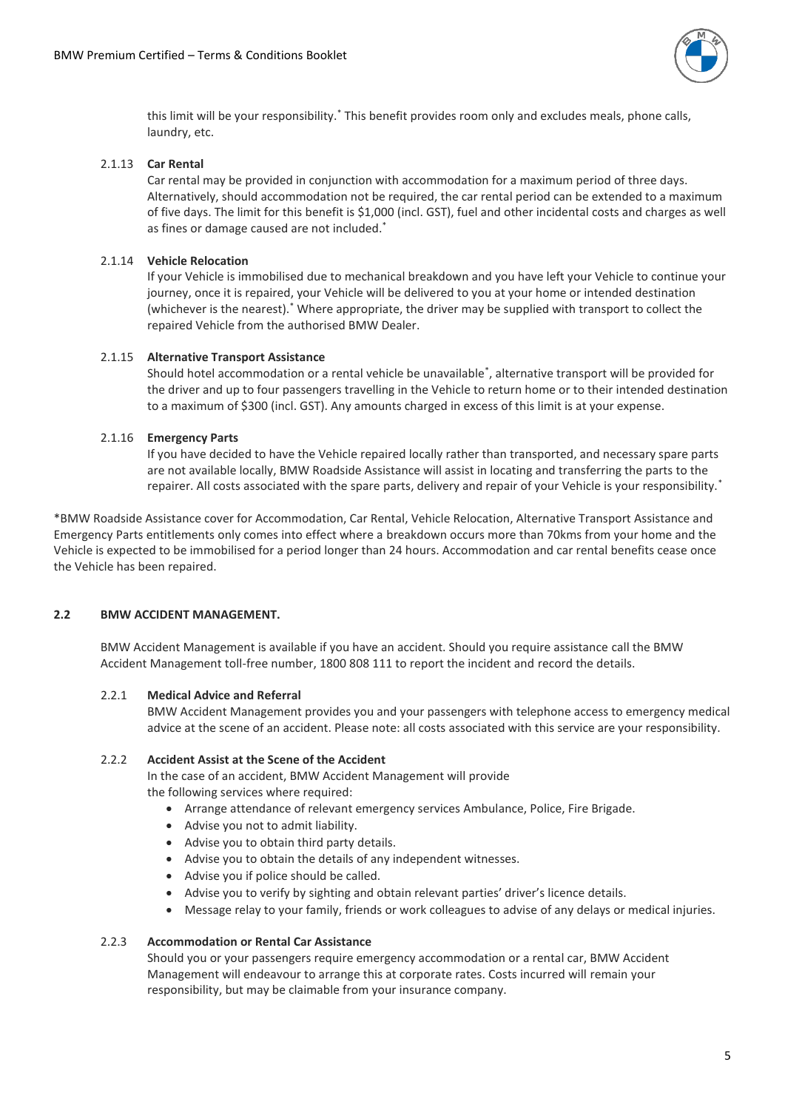

this limit will be your responsibility.\* This benefit provides room only and excludes meals, phone calls, laundry, etc.

#### 2.1.13 **Car Rental**

Car rental may be provided in conjunction with accommodation for a maximum period of three days. Alternatively, should accommodation not be required, the car rental period can be extended to a maximum of five days. The limit for this benefit is \$1,000 (incl. GST), fuel and other incidental costs and charges as well as fines or damage caused are not included.\*

#### 2.1.14 **Vehicle Relocation**

If your Vehicle is immobilised due to mechanical breakdown and you have left your Vehicle to continue your journey, once it is repaired, your Vehicle will be delivered to you at your home or intended destination (whichever is the nearest).\* Where appropriate, the driver may be supplied with transport to collect the repaired Vehicle from the authorised BMW Dealer.

#### 2.1.15 **Alternative Transport Assistance**

Should hotel accommodation or a rental vehicle be unavailable\* , alternative transport will be provided for the driver and up to four passengers travelling in the Vehicle to return home or to their intended destination to a maximum of \$300 (incl. GST). Any amounts charged in excess of this limit is at your expense.

#### 2.1.16 **Emergency Parts**

If you have decided to have the Vehicle repaired locally rather than transported, and necessary spare parts are not available locally, BMW Roadside Assistance will assist in locating and transferring the parts to the repairer. All costs associated with the spare parts, delivery and repair of your Vehicle is your responsibility.\*

\*BMW Roadside Assistance cover for Accommodation, Car Rental, Vehicle Relocation, Alternative Transport Assistance and Emergency Parts entitlements only comes into effect where a breakdown occurs more than 70kms from your home and the Vehicle is expected to be immobilised for a period longer than 24 hours. Accommodation and car rental benefits cease once the Vehicle has been repaired.

#### **2.2 BMW ACCIDENT MANAGEMENT.**

BMW Accident Management is available if you have an accident. Should you require assistance call the BMW Accident Management toll-free number, 1800 808 111 to report the incident and record the details.

#### 2.2.1 **Medical Advice and Referral**

BMW Accident Management provides you and your passengers with telephone access to emergency medical advice at the scene of an accident. Please note: all costs associated with this service are your responsibility.

#### 2.2.2 **Accident Assist at the Scene of the Accident**

In the case of an accident, BMW Accident Management will provide the following services where required:

- Arrange attendance of relevant emergency services Ambulance, Police, Fire Brigade.
- Advise you not to admit liability.
- Advise you to obtain third party details.
- Advise you to obtain the details of any independent witnesses.
- Advise you if police should be called.
- Advise you to verify by sighting and obtain relevant parties' driver's licence details.
- Message relay to your family, friends or work colleagues to advise of any delays or medical injuries.

#### 2.2.3 **Accommodation or Rental Car Assistance**

Should you or your passengers require emergency accommodation or a rental car, BMW Accident Management will endeavour to arrange this at corporate rates. Costs incurred will remain your responsibility, but may be claimable from your insurance company.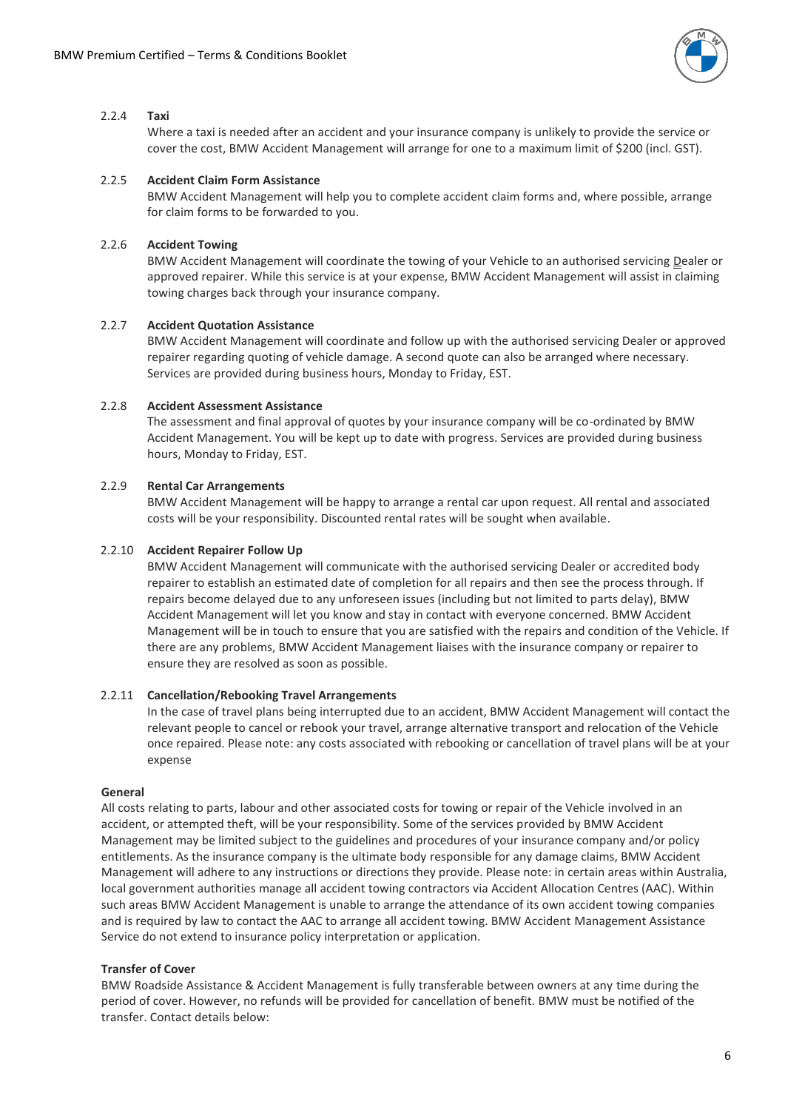

#### 2.2.4 **Taxi**

Where a taxi is needed after an accident and your insurance company is unlikely to provide the service or cover the cost, BMW Accident Management will arrange for one to a maximum limit of \$200 (incl. GST).

#### 2.2.5 **Accident Claim Form Assistance**

BMW Accident Management will help you to complete accident claim forms and, where possible, arrange for claim forms to be forwarded to you.

# 2.2.6 **Accident Towing**

BMW Accident Management will coordinate the towing of your Vehicle to an authorised servicing Dealer or approved repairer. While this service is at your expense, BMW Accident Management will assist in claiming towing charges back through your insurance company.

# 2.2.7 **Accident Quotation Assistance**

BMW Accident Management will coordinate and follow up with the authorised servicing Dealer or approved repairer regarding quoting of vehicle damage. A second quote can also be arranged where necessary. Services are provided during business hours, Monday to Friday, EST.

# 2.2.8 **Accident Assessment Assistance**

The assessment and final approval of quotes by your insurance company will be co-ordinated by BMW Accident Management. You will be kept up to date with progress. Services are provided during business hours, Monday to Friday, EST.

# 2.2.9 **Rental Car Arrangements**

BMW Accident Management will be happy to arrange a rental car upon request. All rental and associated costs will be your responsibility. Discounted rental rates will be sought when available.

# 2.2.10 **Accident Repairer Follow Up**

BMW Accident Management will communicate with the authorised servicing Dealer or accredited body repairer to establish an estimated date of completion for all repairs and then see the process through. If repairs become delayed due to any unforeseen issues (including but not limited to parts delay), BMW Accident Management will let you know and stay in contact with everyone concerned. BMW Accident Management will be in touch to ensure that you are satisfied with the repairs and condition of the Vehicle. If there are any problems, BMW Accident Management liaises with the insurance company or repairer to ensure they are resolved as soon as possible.

#### 2.2.11 **Cancellation/Rebooking Travel Arrangements**

In the case of travel plans being interrupted due to an accident, BMW Accident Management will contact the relevant people to cancel or rebook your travel, arrange alternative transport and relocation of the Vehicle once repaired. Please note: any costs associated with rebooking or cancellation of travel plans will be at your expense

#### **General**

All costs relating to parts, labour and other associated costs for towing or repair of the Vehicle involved in an accident, or attempted theft, will be your responsibility. Some of the services provided by BMW Accident Management may be limited subject to the guidelines and procedures of your insurance company and/or policy entitlements. As the insurance company is the ultimate body responsible for any damage claims, BMW Accident Management will adhere to any instructions or directions they provide. Please note: in certain areas within Australia, local government authorities manage all accident towing contractors via Accident Allocation Centres (AAC). Within such areas BMW Accident Management is unable to arrange the attendance of its own accident towing companies and is required by law to contact the AAC to arrange all accident towing. BMW Accident Management Assistance Service do not extend to insurance policy interpretation or application.

#### **Transfer of Cover**

BMW Roadside Assistance & Accident Management is fully transferable between owners at any time during the period of cover. However, no refunds will be provided for cancellation of benefit. BMW must be notified of the transfer. Contact details below: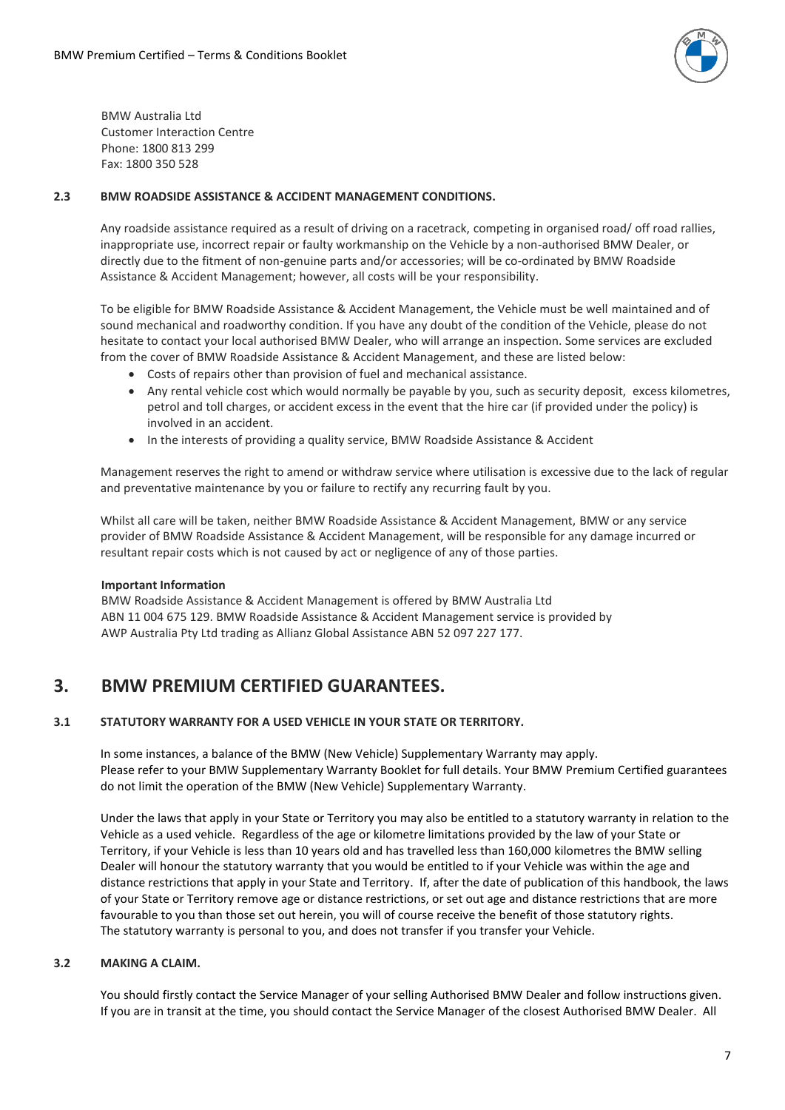

BMW Australia Ltd Customer Interaction Centre Phone: 1800 813 299 Fax: 1800 350 528

#### **2.3 BMW ROADSIDE ASSISTANCE & ACCIDENT MANAGEMENT CONDITIONS.**

Any roadside assistance required as a result of driving on a racetrack, competing in organised road/ off road rallies, inappropriate use, incorrect repair or faulty workmanship on the Vehicle by a non-authorised BMW Dealer, or directly due to the fitment of non-genuine parts and/or accessories; will be co-ordinated by BMW Roadside Assistance & Accident Management; however, all costs will be your responsibility.

To be eligible for BMW Roadside Assistance & Accident Management, the Vehicle must be well maintained and of sound mechanical and roadworthy condition. If you have any doubt of the condition of the Vehicle, please do not hesitate to contact your local authorised BMW Dealer, who will arrange an inspection. Some services are excluded from the cover of BMW Roadside Assistance & Accident Management, and these are listed below:

- Costs of repairs other than provision of fuel and mechanical assistance.
- Any rental vehicle cost which would normally be payable by you, such as security deposit, excess kilometres, petrol and toll charges, or accident excess in the event that the hire car (if provided under the policy) is involved in an accident.
- In the interests of providing a quality service, BMW Roadside Assistance & Accident

Management reserves the right to amend or withdraw service where utilisation is excessive due to the lack of regular and preventative maintenance by you or failure to rectify any recurring fault by you.

Whilst all care will be taken, neither BMW Roadside Assistance & Accident Management, BMW or any service provider of BMW Roadside Assistance & Accident Management, will be responsible for any damage incurred or resultant repair costs which is not caused by act or negligence of any of those parties.

#### **Important Information**

BMW Roadside Assistance & Accident Management is offered by BMW Australia Ltd ABN 11 004 675 129. BMW Roadside Assistance & Accident Management service is provided by AWP Australia Pty Ltd trading as Allianz Global Assistance ABN 52 097 227 177.

# **3. BMW PREMIUM CERTIFIED GUARANTEES.**

#### **3.1 STATUTORY WARRANTY FOR A USED VEHICLE IN YOUR STATE OR TERRITORY.**

In some instances, a balance of the BMW (New Vehicle) Supplementary Warranty may apply. Please refer to your BMW Supplementary Warranty Booklet for full details. Your BMW Premium Certified guarantees do not limit the operation of the BMW (New Vehicle) Supplementary Warranty.

Under the laws that apply in your State or Territory you may also be entitled to a statutory warranty in relation to the Vehicle as a used vehicle. Regardless of the age or kilometre limitations provided by the law of your State or Territory, if your Vehicle is less than 10 years old and has travelled less than 160,000 kilometres the BMW selling Dealer will honour the statutory warranty that you would be entitled to if your Vehicle was within the age and distance restrictions that apply in your State and Territory. If, after the date of publication of this handbook, the laws of your State or Territory remove age or distance restrictions, or set out age and distance restrictions that are more favourable to you than those set out herein, you will of course receive the benefit of those statutory rights. The statutory warranty is personal to you, and does not transfer if you transfer your Vehicle.

#### **3.2 MAKING A CLAIM.**

You should firstly contact the Service Manager of your selling Authorised BMW Dealer and follow instructions given. If you are in transit at the time, you should contact the Service Manager of the closest Authorised BMW Dealer. All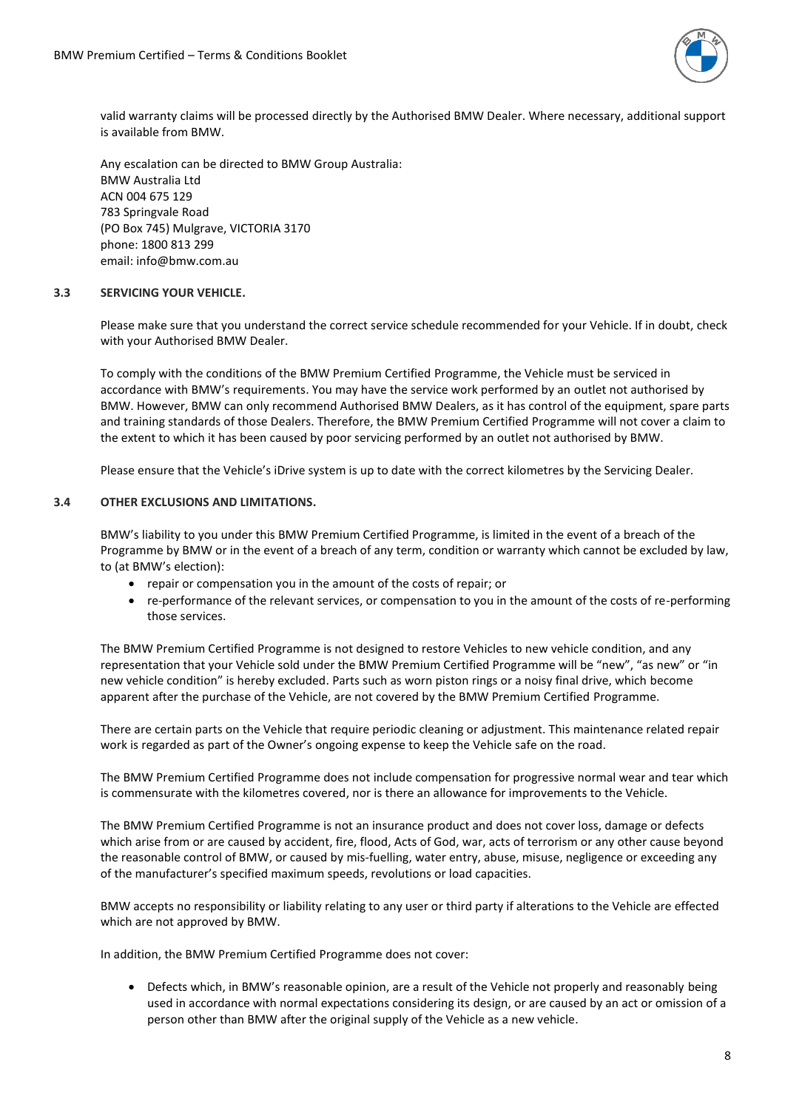

valid warranty claims will be processed directly by the Authorised BMW Dealer. Where necessary, additional support is available from BMW.

Any escalation can be directed to BMW Group Australia: BMW Australia Ltd ACN 004 675 129 783 Springvale Road (PO Box 745) Mulgrave, VICTORIA 3170 phone: 1800 813 299 email: info@bmw.com.au

#### **3.3 SERVICING YOUR VEHICLE.**

Please make sure that you understand the correct service schedule recommended for your Vehicle. If in doubt, check with your Authorised BMW Dealer.

To comply with the conditions of the BMW Premium Certified Programme, the Vehicle must be serviced in accordance with BMW's requirements. You may have the service work performed by an outlet not authorised by BMW. However, BMW can only recommend Authorised BMW Dealers, as it has control of the equipment, spare parts and training standards of those Dealers. Therefore, the BMW Premium Certified Programme will not cover a claim to the extent to which it has been caused by poor servicing performed by an outlet not authorised by BMW.

Please ensure that the Vehicle's iDrive system is up to date with the correct kilometres by the Servicing Dealer.

#### **3.4 OTHER EXCLUSIONS AND LIMITATIONS.**

BMW's liability to you under this BMW Premium Certified Programme, is limited in the event of a breach of the Programme by BMW or in the event of a breach of any term, condition or warranty which cannot be excluded by law, to (at BMW's election):

- repair or compensation you in the amount of the costs of repair; or
- re-performance of the relevant services, or compensation to you in the amount of the costs of re-performing those services.

The BMW Premium Certified Programme is not designed to restore Vehicles to new vehicle condition, and any representation that your Vehicle sold under the BMW Premium Certified Programme will be "new", "as new" or "in new vehicle condition" is hereby excluded. Parts such as worn piston rings or a noisy final drive, which become apparent after the purchase of the Vehicle, are not covered by the BMW Premium Certified Programme.

There are certain parts on the Vehicle that require periodic cleaning or adjustment. This maintenance related repair work is regarded as part of the Owner's ongoing expense to keep the Vehicle safe on the road.

The BMW Premium Certified Programme does not include compensation for progressive normal wear and tear which is commensurate with the kilometres covered, nor is there an allowance for improvements to the Vehicle.

The BMW Premium Certified Programme is not an insurance product and does not cover loss, damage or defects which arise from or are caused by accident, fire, flood, Acts of God, war, acts of terrorism or any other cause beyond the reasonable control of BMW, or caused by mis-fuelling, water entry, abuse, misuse, negligence or exceeding any of the manufacturer's specified maximum speeds, revolutions or load capacities.

BMW accepts no responsibility or liability relating to any user or third party if alterations to the Vehicle are effected which are not approved by BMW.

In addition, the BMW Premium Certified Programme does not cover:

• Defects which, in BMW's reasonable opinion, are a result of the Vehicle not properly and reasonably being used in accordance with normal expectations considering its design, or are caused by an act or omission of a person other than BMW after the original supply of the Vehicle as a new vehicle.